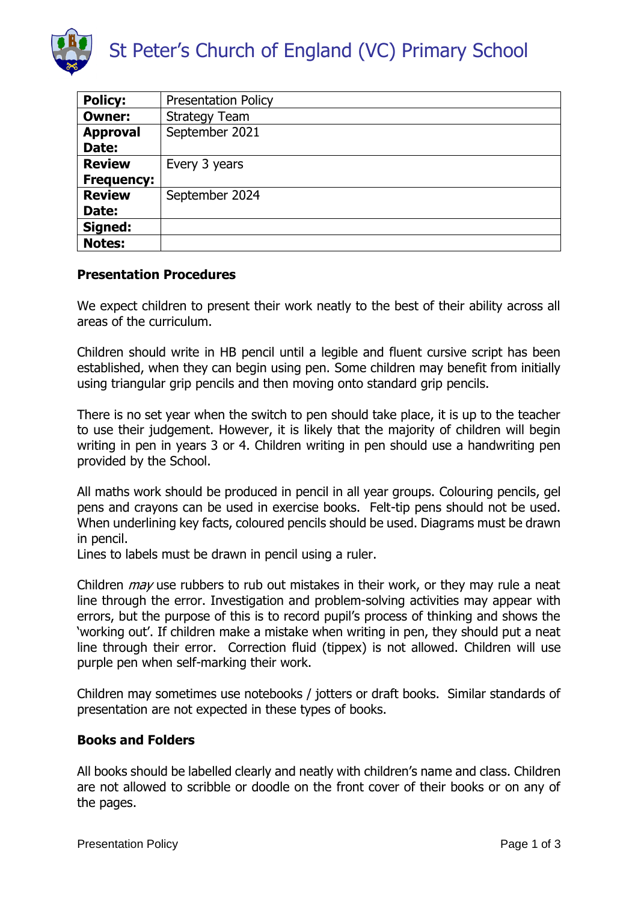

| <b>Policy:</b>    | <b>Presentation Policy</b> |
|-------------------|----------------------------|
| <b>Owner:</b>     | <b>Strategy Team</b>       |
| <b>Approval</b>   | September 2021             |
| Date:             |                            |
| <b>Review</b>     | Every 3 years              |
| <b>Frequency:</b> |                            |
| <b>Review</b>     | September 2024             |
| Date:             |                            |
| Signed:           |                            |
| <b>Notes:</b>     |                            |

# **Presentation Procedures**

We expect children to present their work neatly to the best of their ability across all areas of the curriculum.

Children should write in HB pencil until a legible and fluent cursive script has been established, when they can begin using pen. Some children may benefit from initially using triangular grip pencils and then moving onto standard grip pencils.

There is no set year when the switch to pen should take place, it is up to the teacher to use their judgement. However, it is likely that the majority of children will begin writing in pen in years 3 or 4. Children writing in pen should use a handwriting pen provided by the School.

All maths work should be produced in pencil in all year groups. Colouring pencils, gel pens and crayons can be used in exercise books. Felt-tip pens should not be used. When underlining key facts, coloured pencils should be used. Diagrams must be drawn in pencil.

Lines to labels must be drawn in pencil using a ruler.

Children *may* use rubbers to rub out mistakes in their work, or they may rule a neat line through the error. Investigation and problem-solving activities may appear with errors, but the purpose of this is to record pupil's process of thinking and shows the 'working out'. If children make a mistake when writing in pen, they should put a neat line through their error. Correction fluid (tippex) is not allowed. Children will use purple pen when self-marking their work.

Children may sometimes use notebooks / jotters or draft books. Similar standards of presentation are not expected in these types of books.

## **Books and Folders**

All books should be labelled clearly and neatly with children's name and class. Children are not allowed to scribble or doodle on the front cover of their books or on any of the pages.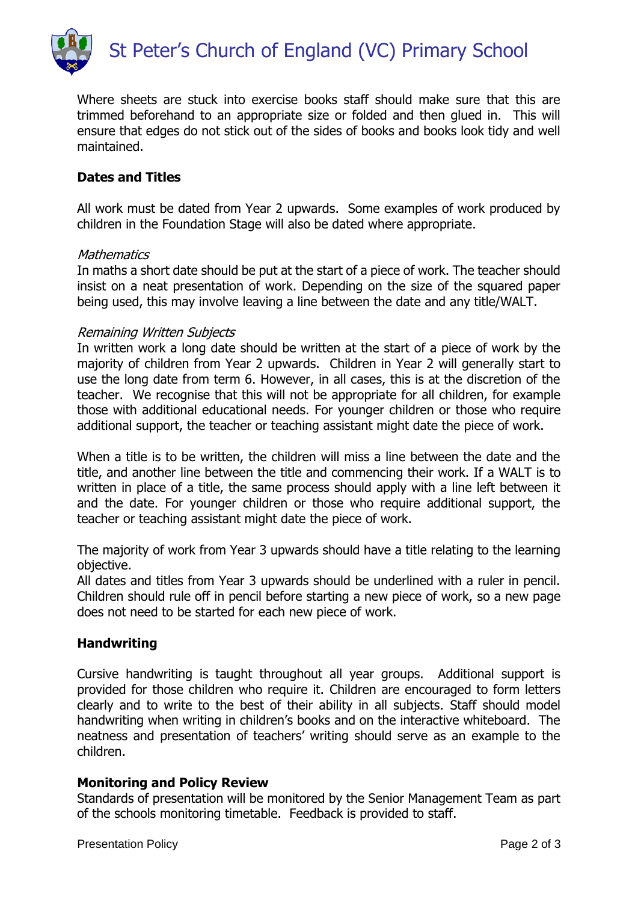

Where sheets are stuck into exercise books staff should make sure that this are trimmed beforehand to an appropriate size or folded and then glued in. This will ensure that edges do not stick out of the sides of books and books look tidy and well maintained.

# **Dates and Titles**

All work must be dated from Year 2 upwards. Some examples of work produced by children in the Foundation Stage will also be dated where appropriate.

#### **Mathematics**

In maths a short date should be put at the start of a piece of work. The teacher should insist on a neat presentation of work. Depending on the size of the squared paper being used, this may involve leaving a line between the date and any title/WALT.

#### Remaining Written Subjects

In written work a long date should be written at the start of a piece of work by the majority of children from Year 2 upwards. Children in Year 2 will generally start to use the long date from term 6. However, in all cases, this is at the discretion of the teacher. We recognise that this will not be appropriate for all children, for example those with additional educational needs. For younger children or those who require additional support, the teacher or teaching assistant might date the piece of work.

When a title is to be written, the children will miss a line between the date and the title, and another line between the title and commencing their work. If a WALT is to written in place of a title, the same process should apply with a line left between it and the date. For younger children or those who require additional support, the teacher or teaching assistant might date the piece of work.

The majority of work from Year 3 upwards should have a title relating to the learning objective.

All dates and titles from Year 3 upwards should be underlined with a ruler in pencil. Children should rule off in pencil before starting a new piece of work, so a new page does not need to be started for each new piece of work.

## **Handwriting**

Cursive handwriting is taught throughout all year groups. Additional support is provided for those children who require it. Children are encouraged to form letters clearly and to write to the best of their ability in all subjects. Staff should model handwriting when writing in children's books and on the interactive whiteboard. The neatness and presentation of teachers' writing should serve as an example to the children.

## **Monitoring and Policy Review**

Standards of presentation will be monitored by the Senior Management Team as part of the schools monitoring timetable. Feedback is provided to staff.